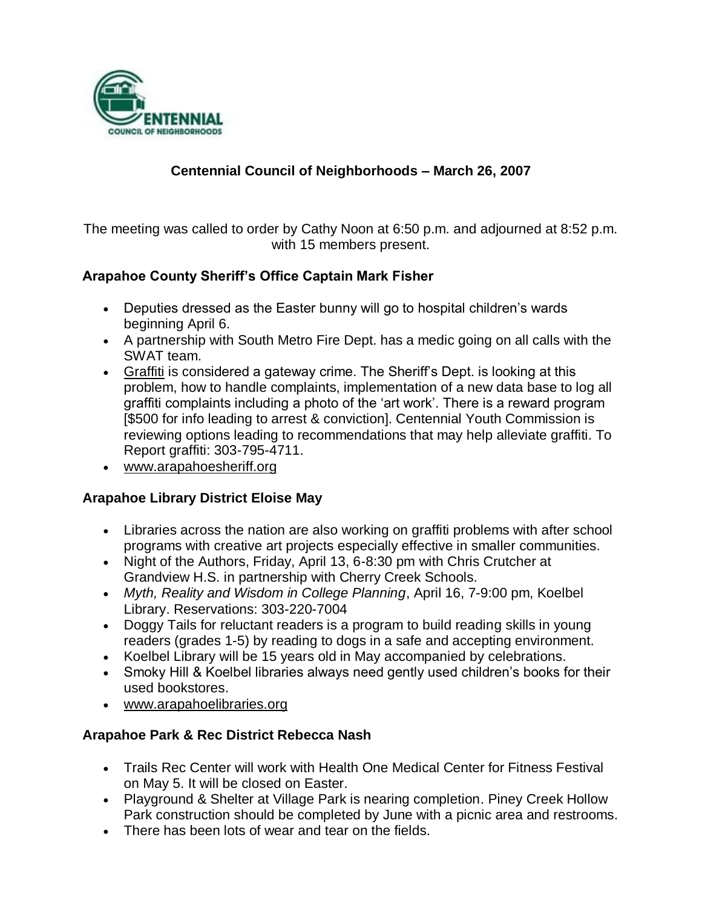

## **Centennial Council of Neighborhoods – March 26, 2007**

The meeting was called to order by Cathy Noon at 6:50 p.m. and adjourned at 8:52 p.m. with 15 members present.

### **Arapahoe County Sheriff's Office Captain Mark Fisher**

- Deputies dressed as the Easter bunny will go to hospital children's wards beginning April 6.
- A partnership with South Metro Fire Dept. has a medic going on all calls with the SWAT team.
- Graffiti is considered a gateway crime. The Sheriff's Dept. is looking at this problem, how to handle complaints, implementation of a new data base to log all graffiti complaints including a photo of the 'art work'. There is a reward program [\$500 for info leading to arrest & conviction]. Centennial Youth Commission is reviewing options leading to recommendations that may help alleviate graffiti. To Report graffiti: 303-795-4711.
- www.arapahoesheriff.org

#### **Arapahoe Library District Eloise May**

- Libraries across the nation are also working on graffiti problems with after school programs with creative art projects especially effective in smaller communities.
- Night of the Authors, Friday, April 13, 6-8:30 pm with Chris Crutcher at Grandview H.S. in partnership with Cherry Creek Schools.
- *Myth, Reality and Wisdom in College Planning*, April 16, 7-9:00 pm, Koelbel Library. Reservations: 303-220-7004
- Doggy Tails for reluctant readers is a program to build reading skills in young readers (grades 1-5) by reading to dogs in a safe and accepting environment.
- Koelbel Library will be 15 years old in May accompanied by celebrations.
- Smoky Hill & Koelbel libraries always need gently used children's books for their used bookstores.
- www.arapahoelibraries.org

### **Arapahoe Park & Rec District Rebecca Nash**

- Trails Rec Center will work with Health One Medical Center for Fitness Festival on May 5. It will be closed on Easter.
- Playground & Shelter at Village Park is nearing completion. Piney Creek Hollow Park construction should be completed by June with a picnic area and restrooms.
- There has been lots of wear and tear on the fields.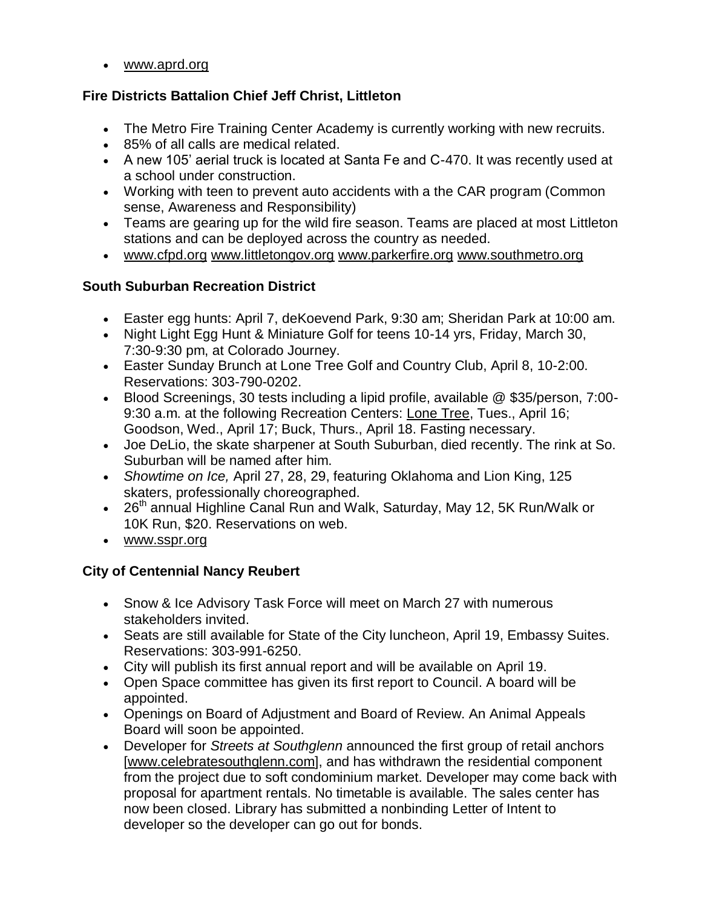www.aprd.org

### **Fire Districts Battalion Chief Jeff Christ, Littleton**

- The Metro Fire Training Center Academy is currently working with new recruits.
- 85% of all calls are medical related.
- A new 105' aerial truck is located at Santa Fe and C-470. It was recently used at a school under construction.
- Working with teen to prevent auto accidents with a the CAR program (Common sense, Awareness and Responsibility)
- Teams are gearing up for the wild fire season. Teams are placed at most Littleton stations and can be deployed across the country as needed.
- www.cfpd.org www.littletongov.org www.parkerfire.org www.southmetro.org

## **South Suburban Recreation District**

- Easter egg hunts: April 7, deKoevend Park, 9:30 am; Sheridan Park at 10:00 am.
- Night Light Egg Hunt & Miniature Golf for teens 10-14 yrs, Friday, March 30, 7:30-9:30 pm, at Colorado Journey.
- Easter Sunday Brunch at Lone Tree Golf and Country Club, April 8, 10-2:00. Reservations: 303-790-0202.
- Blood Screenings, 30 tests including a lipid profile, available @ \$35/person, 7:00- 9:30 a.m. at the following Recreation Centers: Lone Tree, Tues., April 16; Goodson, Wed., April 17; Buck, Thurs., April 18. Fasting necessary.
- Joe DeLio, the skate sharpener at South Suburban, died recently. The rink at So. Suburban will be named after him.
- *Showtime on Ice,* April 27, 28, 29, featuring Oklahoma and Lion King, 125 skaters, professionally choreographed.
- $\bullet$  26<sup>th</sup> annual Highline Canal Run and Walk, Saturday, May 12, 5K Run/Walk or 10K Run, \$20. Reservations on web.
- www.sspr.org

# **City of Centennial Nancy Reubert**

- Snow & Ice Advisory Task Force will meet on March 27 with numerous stakeholders invited.
- Seats are still available for State of the City luncheon, April 19, Embassy Suites. Reservations: 303-991-6250.
- City will publish its first annual report and will be available on April 19.
- Open Space committee has given its first report to Council. A board will be appointed.
- Openings on Board of Adjustment and Board of Review. An Animal Appeals Board will soon be appointed.
- Developer for *Streets at Southglenn* announced the first group of retail anchors [www.celebratesouthglenn.com], and has withdrawn the residential component from the project due to soft condominium market. Developer may come back with proposal for apartment rentals. No timetable is available. The sales center has now been closed. Library has submitted a nonbinding Letter of Intent to developer so the developer can go out for bonds.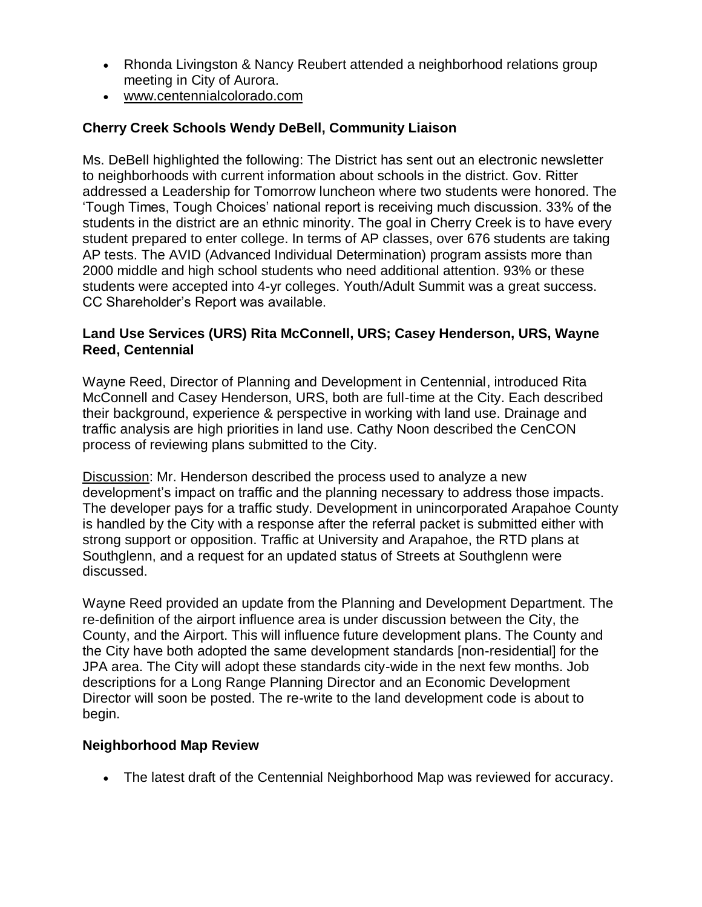- Rhonda Livingston & Nancy Reubert attended a neighborhood relations group meeting in City of Aurora.
- www.centennialcolorado.com

### **Cherry Creek Schools Wendy DeBell, Community Liaison**

Ms. DeBell highlighted the following: The District has sent out an electronic newsletter to neighborhoods with current information about schools in the district. Gov. Ritter addressed a Leadership for Tomorrow luncheon where two students were honored. The 'Tough Times, Tough Choices' national report is receiving much discussion. 33% of the students in the district are an ethnic minority. The goal in Cherry Creek is to have every student prepared to enter college. In terms of AP classes, over 676 students are taking AP tests. The AVID (Advanced Individual Determination) program assists more than 2000 middle and high school students who need additional attention. 93% or these students were accepted into 4-yr colleges. Youth/Adult Summit was a great success. CC Shareholder's Report was available.

### **Land Use Services (URS) Rita McConnell, URS; Casey Henderson, URS, Wayne Reed, Centennial**

Wayne Reed, Director of Planning and Development in Centennial, introduced Rita McConnell and Casey Henderson, URS, both are full-time at the City. Each described their background, experience & perspective in working with land use. Drainage and traffic analysis are high priorities in land use. Cathy Noon described the CenCON process of reviewing plans submitted to the City.

Discussion: Mr. Henderson described the process used to analyze a new development's impact on traffic and the planning necessary to address those impacts. The developer pays for a traffic study. Development in unincorporated Arapahoe County is handled by the City with a response after the referral packet is submitted either with strong support or opposition. Traffic at University and Arapahoe, the RTD plans at Southglenn, and a request for an updated status of Streets at Southglenn were discussed.

Wayne Reed provided an update from the Planning and Development Department. The re-definition of the airport influence area is under discussion between the City, the County, and the Airport. This will influence future development plans. The County and the City have both adopted the same development standards [non-residential] for the JPA area. The City will adopt these standards city-wide in the next few months. Job descriptions for a Long Range Planning Director and an Economic Development Director will soon be posted. The re-write to the land development code is about to begin.

### **Neighborhood Map Review**

The latest draft of the Centennial Neighborhood Map was reviewed for accuracy.